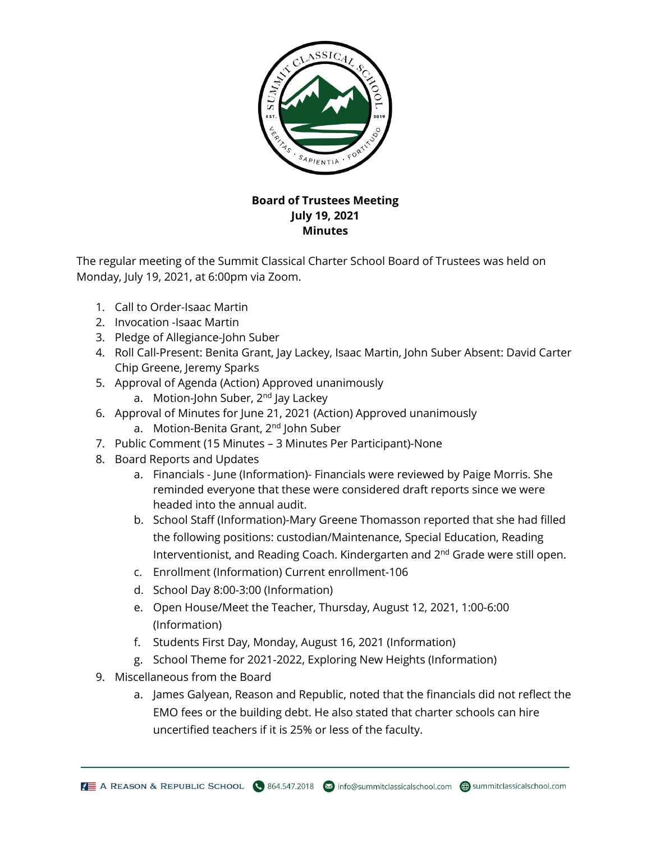

## **Board of Trustees Meeting July 19, 2021 Minutes**

The regular meeting of the Summit Classical Charter School Board of Trustees was held on Monday, July 19, 2021, at 6:00pm via Zoom.

- 1. Call to Order-Isaac Martin
- 2. Invocation -Isaac Martin
- 3. Pledge of Allegiance-John Suber
- 4. Roll Call-Present: Benita Grant, Jay Lackey, Isaac Martin, John Suber Absent: David Carter Chip Greene, Jeremy Sparks
- 5. Approval of Agenda (Action) Approved unanimously
	- a. Motion-John Suber, 2<sup>nd</sup> Jay Lackey
- 6. Approval of Minutes for June 21, 2021 (Action) Approved unanimously
	- a. Motion-Benita Grant, 2<sup>nd</sup> John Suber
- 7. Public Comment (15 Minutes 3 Minutes Per Participant)-None
- 8. Board Reports and Updates
	- a. Financials June (Information)- Financials were reviewed by Paige Morris. She reminded everyone that these were considered draft reports since we were headed into the annual audit.
	- b. School Staff (Information)-Mary Greene Thomasson reported that she had filled the following positions: custodian/Maintenance, Special Education, Reading Interventionist, and Reading Coach. Kindergarten and 2<sup>nd</sup> Grade were still open.
	- c. Enrollment (Information) Current enrollment-106
	- d. School Day 8:00-3:00 (Information)
	- e. Open House/Meet the Teacher, Thursday, August 12, 2021, 1:00-6:00 (Information)
	- f. Students First Day, Monday, August 16, 2021 (Information)
	- g. School Theme for 2021-2022, Exploring New Heights (Information)
- 9. Miscellaneous from the Board
	- a. James Galyean, Reason and Republic, noted that the financials did not reflect the EMO fees or the building debt. He also stated that charter schools can hire uncertified teachers if it is 25% or less of the faculty.